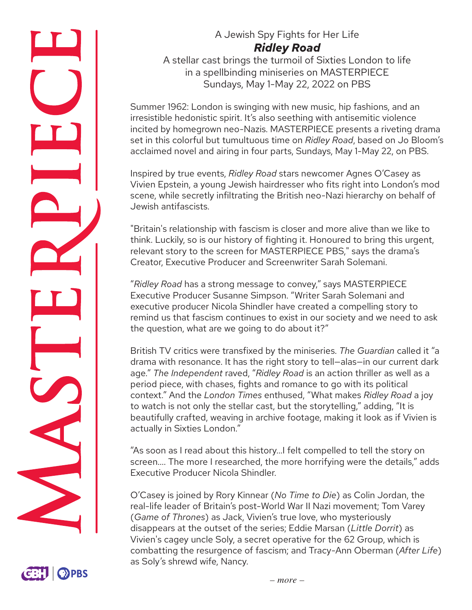

# A Jewish Spy Fights for Her Life *Ridley Road*

A stellar cast brings the turmoil of Sixties London to life in a spellbinding miniseries on MASTERPIECE Sundays, May 1-May 22, 2022 on PBS

Summer 1962: London is swinging with new music, hip fashions, and an irresistible hedonistic spirit. It's also seething with antisemitic violence incited by homegrown neo-Nazis. MASTERPIECE presents a riveting drama set in this colorful but tumultuous time on *Ridley Road*, based on Jo Bloom's acclaimed novel and airing in four parts, Sundays, May 1-May 22, on PBS.

Inspired by true events, *Ridley Road* stars newcomer Agnes O'Casey as Vivien Epstein, a young Jewish hairdresser who fits right into London's mod scene, while secretly infiltrating the British neo-Nazi hierarchy on behalf of Jewish antifascists.

"Britain's relationship with fascism is closer and more alive than we like to think. Luckily, so is our history of fighting it. Honoured to bring this urgent, relevant story to the screen for MASTERPIECE PBS," says the drama's Creator, Executive Producer and Screenwriter Sarah Solemani.

"*Ridley Road* has a strong message to convey," says MASTERPIECE Executive Producer Susanne Simpson. "Writer Sarah Solemani and executive producer Nicola Shindler have created a compelling story to remind us that fascism continues to exist in our society and we need to ask the question, what are we going to do about it?"

British TV critics were transfixed by the miniseries. *The Guardian* called it "a drama with resonance. It has the right story to tell—alas—in our current dark age." *The Independent* raved, "*Ridley Road* is an action thriller as well as a period piece, with chases, fights and romance to go with its political context." And the *London Times* enthused, "What makes *Ridley Road* a joy to watch is not only the stellar cast, but the storytelling," adding, "It is beautifully crafted, weaving in archive footage, making it look as if Vivien is actually in Sixties London."

"As soon as I read about this history…I felt compelled to tell the story on screen…. The more I researched, the more horrifying were the details," adds Executive Producer Nicola Shindler.

O'Casey is joined by Rory Kinnear (*No Time to Die*) as Colin Jordan, the real-life leader of Britain's post-World War II Nazi movement; Tom Varey (*Game of Thrones*) as Jack, Vivien's true love, who mysteriously disappears at the outset of the series; Eddie Marsan (*Little Dorrit*) as Vivien's cagey uncle Soly, a secret operative for the 62 Group, which is combatting the resurgence of fascism; and Tracy-Ann Oberman (*After Life*) as Soly's shrewd wife, Nancy.

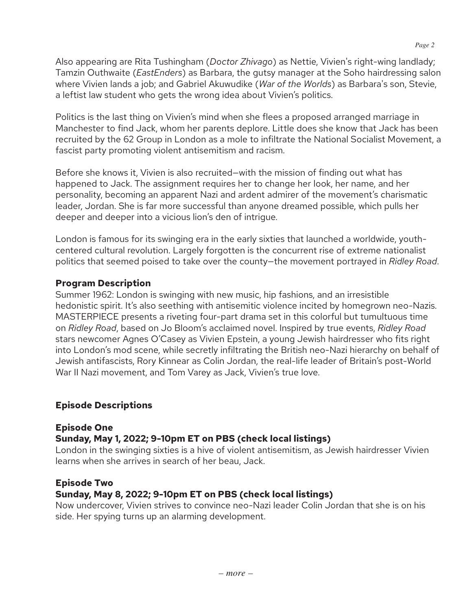Also appearing are Rita Tushingham (*Doctor Zhivago*) as Nettie, Vivien's right-wing landlady; Tamzin Outhwaite (*EastEnders*) as Barbara, the gutsy manager at the Soho hairdressing salon where Vivien lands a job; and Gabriel Akuwudike (*War of the Worlds*) as Barbara's son, Stevie, a leftist law student who gets the wrong idea about Vivien's politics.

Politics is the last thing on Vivien's mind when she flees a proposed arranged marriage in Manchester to find Jack, whom her parents deplore. Little does she know that Jack has been recruited by the 62 Group in London as a mole to infiltrate the National Socialist Movement, a fascist party promoting violent antisemitism and racism.

Before she knows it, Vivien is also recruited—with the mission of finding out what has happened to Jack. The assignment requires her to change her look, her name, and her personality, becoming an apparent Nazi and ardent admirer of the movement's charismatic leader, Jordan. She is far more successful than anyone dreamed possible, which pulls her deeper and deeper into a vicious lion's den of intrigue.

London is famous for its swinging era in the early sixties that launched a worldwide, youthcentered cultural revolution. Largely forgotten is the concurrent rise of extreme nationalist politics that seemed poised to take over the county—the movement portrayed in *Ridley Road*.

#### **Program Description**

Summer 1962: London is swinging with new music, hip fashions, and an irresistible hedonistic spirit. It's also seething with antisemitic violence incited by homegrown neo-Nazis. MASTERPIECE presents a riveting four-part drama set in this colorful but tumultuous time on *Ridley Road*, based on Jo Bloom's acclaimed novel. Inspired by true events, *Ridley Road* stars newcomer Agnes O'Casey as Vivien Epstein, a young Jewish hairdresser who fits right into London's mod scene, while secretly infiltrating the British neo-Nazi hierarchy on behalf of Jewish antifascists, Rory Kinnear as Colin Jordan, the real-life leader of Britain's post-World War II Nazi movement, and Tom Varey as Jack, Vivien's true love.

## **Episode Descriptions**

#### **Episode One**

## **Sunday, May 1, 2022; 9-10pm ET on PBS (check local listings)**

London in the swinging sixties is a hive of violent antisemitism, as Jewish hairdresser Vivien learns when she arrives in search of her beau, Jack.

## **Episode Two**

## **Sunday, May 8, 2022; 9-10pm ET on PBS (check local listings)**

Now undercover, Vivien strives to convince neo-Nazi leader Colin Jordan that she is on his side. Her spying turns up an alarming development.